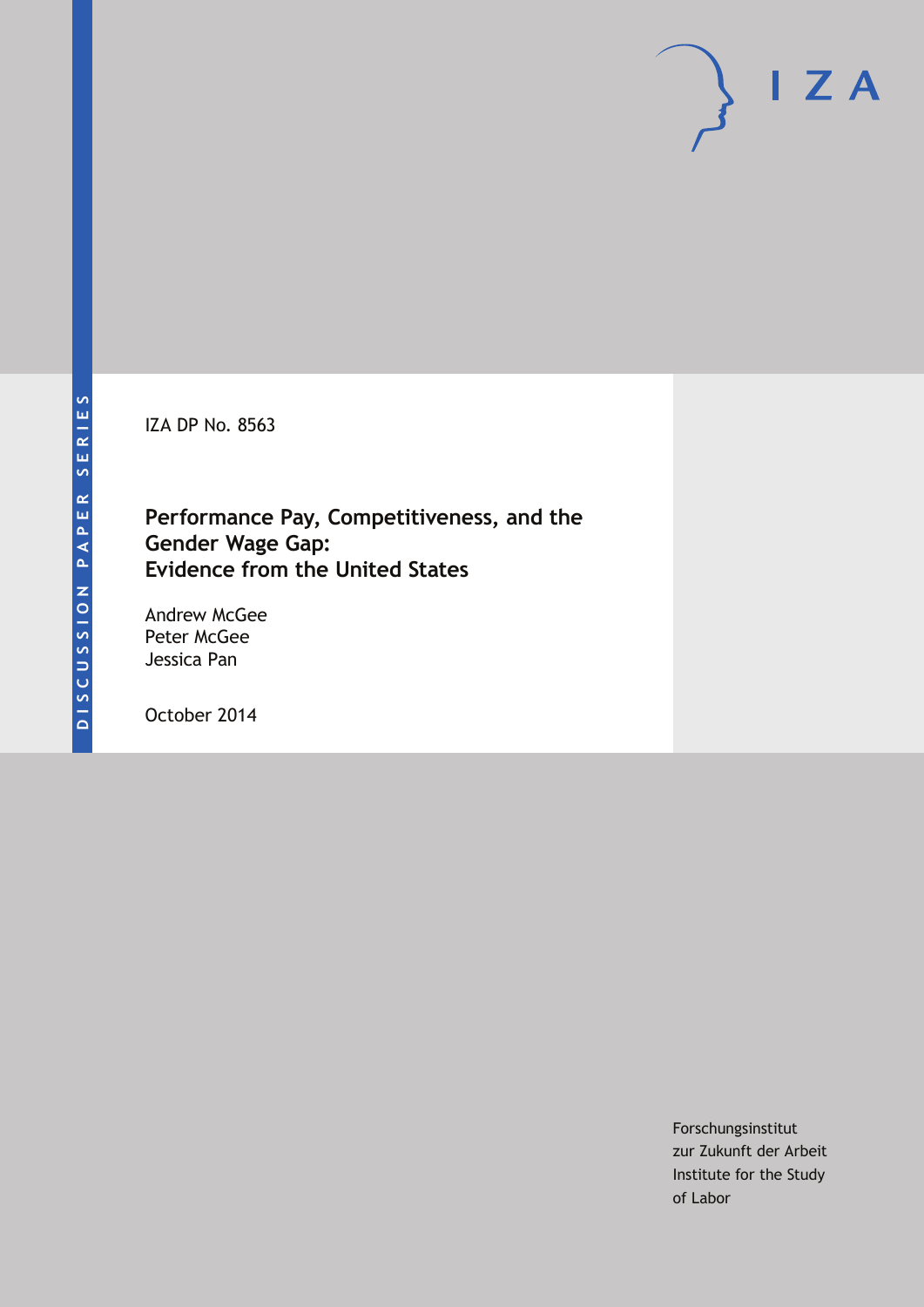IZA DP No. 8563

# **Performance Pay, Competitiveness, and the Gender Wage Gap: Evidence from the United States**

Andrew McGee Peter McGee Jessica Pan

October 2014

Forschungsinstitut zur Zukunft der Arbeit Institute for the Study of Labor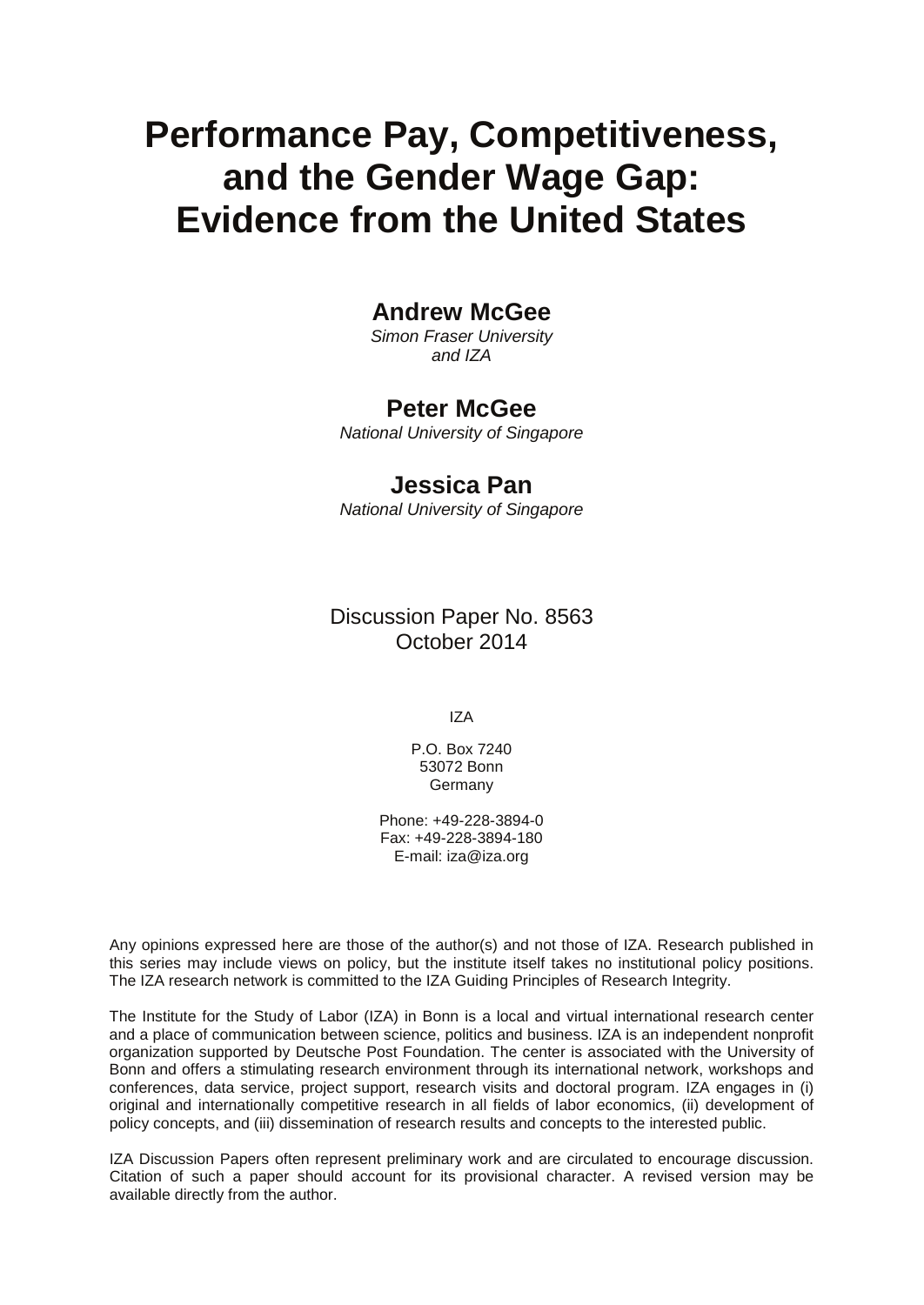# **Performance Pay, Competitiveness, and the Gender Wage Gap: Evidence from the United States**

## **Andrew McGee**

*Simon Fraser University and IZA*

### **Peter McGee**

*National University of Singapore*

## **Jessica Pan**

*National University of Singapore*

Discussion Paper No. 8563 October 2014

IZA

P.O. Box 7240 53072 Bonn **Germany** 

Phone: +49-228-3894-0 Fax: +49-228-3894-180 E-mail: [iza@iza.org](mailto:iza@iza.org)

Any opinions expressed here are those of the author(s) and not those of IZA. Research published in this series may include views on policy, but the institute itself takes no institutional policy positions. The IZA research network is committed to the IZA Guiding Principles of Research Integrity.

The Institute for the Study of Labor (IZA) in Bonn is a local and virtual international research center and a place of communication between science, politics and business. IZA is an independent nonprofit organization supported by Deutsche Post Foundation. The center is associated with the University of Bonn and offers a stimulating research environment through its international network, workshops and conferences, data service, project support, research visits and doctoral program. IZA engages in (i) original and internationally competitive research in all fields of labor economics, (ii) development of policy concepts, and (iii) dissemination of research results and concepts to the interested public.

IZA Discussion Papers often represent preliminary work and are circulated to encourage discussion. Citation of such a paper should account for its provisional character. A revised version may be available directly from the author.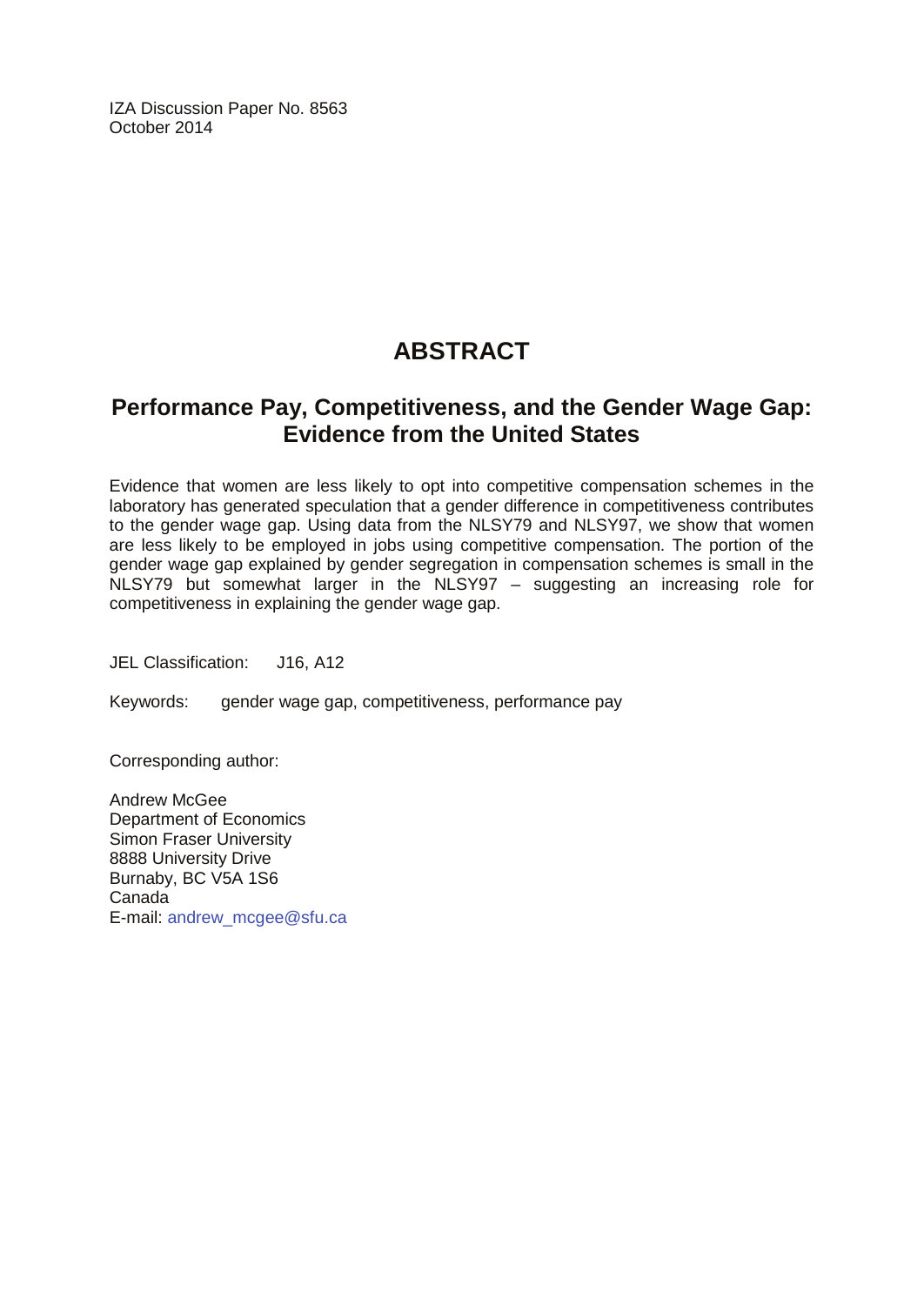IZA Discussion Paper No. 8563 October 2014

# **ABSTRACT**

## **Performance Pay, Competitiveness, and the Gender Wage Gap: Evidence from the United States**

Evidence that women are less likely to opt into competitive compensation schemes in the laboratory has generated speculation that a gender difference in competitiveness contributes to the gender wage gap. Using data from the NLSY79 and NLSY97, we show that women are less likely to be employed in jobs using competitive compensation. The portion of the gender wage gap explained by gender segregation in compensation schemes is small in the NLSY79 but somewhat larger in the NLSY97 – suggesting an increasing role for competitiveness in explaining the gender wage gap.

JEL Classification: J16, A12

Keywords: gender wage gap, competitiveness, performance pay

Corresponding author:

Andrew McGee Department of Economics Simon Fraser University 8888 University Drive Burnaby, BC V5A 1S6 Canada E-mail: [andrew\\_mcgee@sfu.ca](mailto:andrew_mcgee@sfu.ca)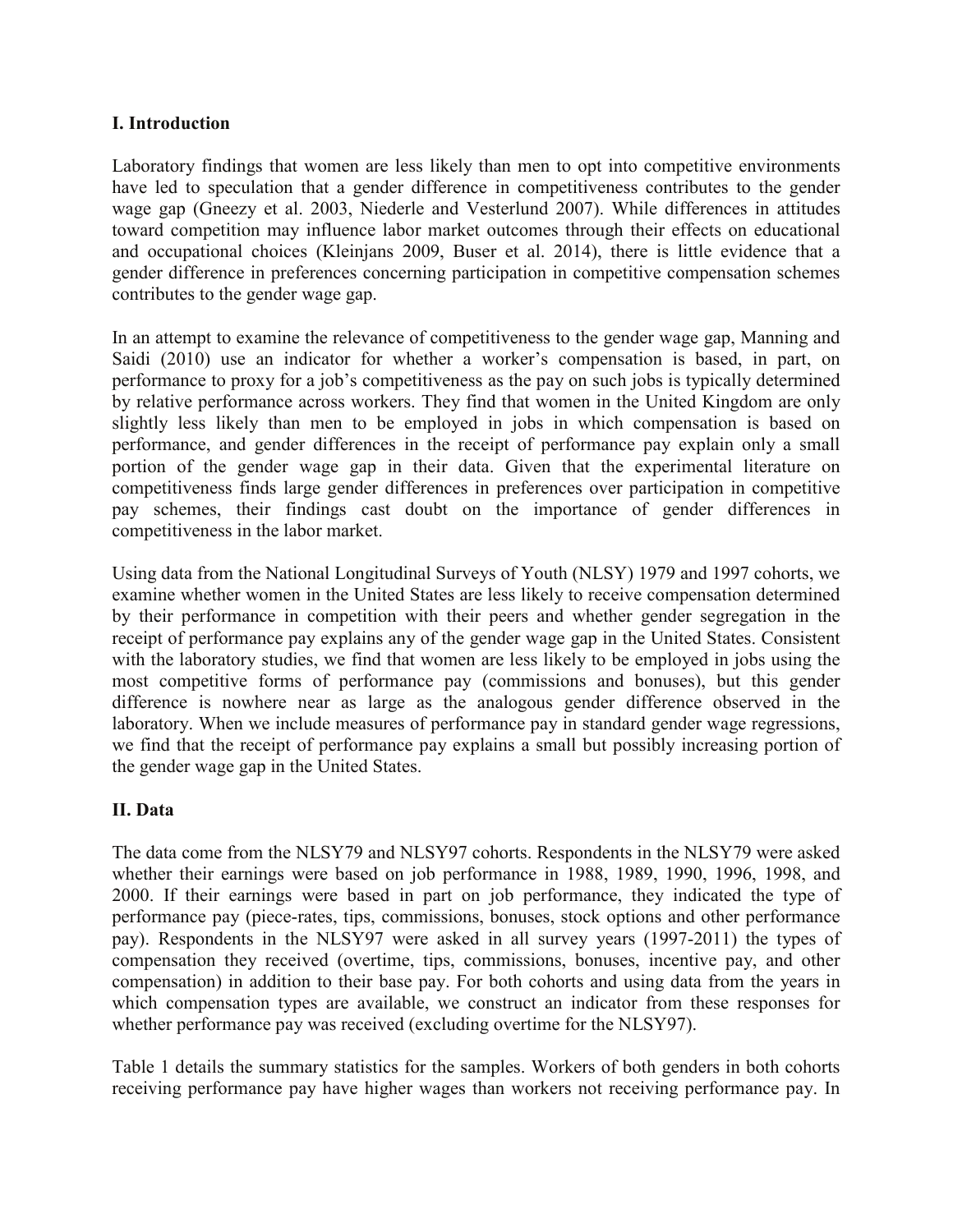#### **I. Introduction**

Laboratory findings that women are less likely than men to opt into competitive environments have led to speculation that a gender difference in competitiveness contributes to the gender wage gap (Gneezy et al. 2003, Niederle and Vesterlund 2007). While differences in attitudes toward competition may influence labor market outcomes through their effects on educational and occupational choices (Kleinjans 2009, Buser et al. 2014), there is little evidence that a gender difference in preferences concerning participation in competitive compensation schemes contributes to the gender wage gap.

In an attempt to examine the relevance of competitiveness to the gender wage gap, Manning and Saidi (2010) use an indicator for whether a worker's compensation is based, in part, on performance to proxy for a job's competitiveness as the pay on such jobs is typically determined by relative performance across workers. They find that women in the United Kingdom are only slightly less likely than men to be employed in jobs in which compensation is based on performance, and gender differences in the receipt of performance pay explain only a small portion of the gender wage gap in their data. Given that the experimental literature on competitiveness finds large gender differences in preferences over participation in competitive pay schemes, their findings cast doubt on the importance of gender differences in competitiveness in the labor market.

Using data from the National Longitudinal Surveys of Youth (NLSY) 1979 and 1997 cohorts, we examine whether women in the United States are less likely to receive compensation determined by their performance in competition with their peers and whether gender segregation in the receipt of performance pay explains any of the gender wage gap in the United States. Consistent with the laboratory studies, we find that women are less likely to be employed in jobs using the most competitive forms of performance pay (commissions and bonuses), but this gender difference is nowhere near as large as the analogous gender difference observed in the laboratory. When we include measures of performance pay in standard gender wage regressions, we find that the receipt of performance pay explains a small but possibly increasing portion of the gender wage gap in the United States.

#### **II. Data**

The data come from the NLSY79 and NLSY97 cohorts. Respondents in the NLSY79 were asked whether their earnings were based on job performance in 1988, 1989, 1990, 1996, 1998, and 2000. If their earnings were based in part on job performance, they indicated the type of performance pay (piece-rates, tips, commissions, bonuses, stock options and other performance pay). Respondents in the NLSY97 were asked in all survey years (1997-2011) the types of compensation they received (overtime, tips, commissions, bonuses, incentive pay, and other compensation) in addition to their base pay. For both cohorts and using data from the years in which compensation types are available, we construct an indicator from these responses for whether performance pay was received (excluding overtime for the NLSY97).

Table 1 details the summary statistics for the samples. Workers of both genders in both cohorts receiving performance pay have higher wages than workers not receiving performance pay. In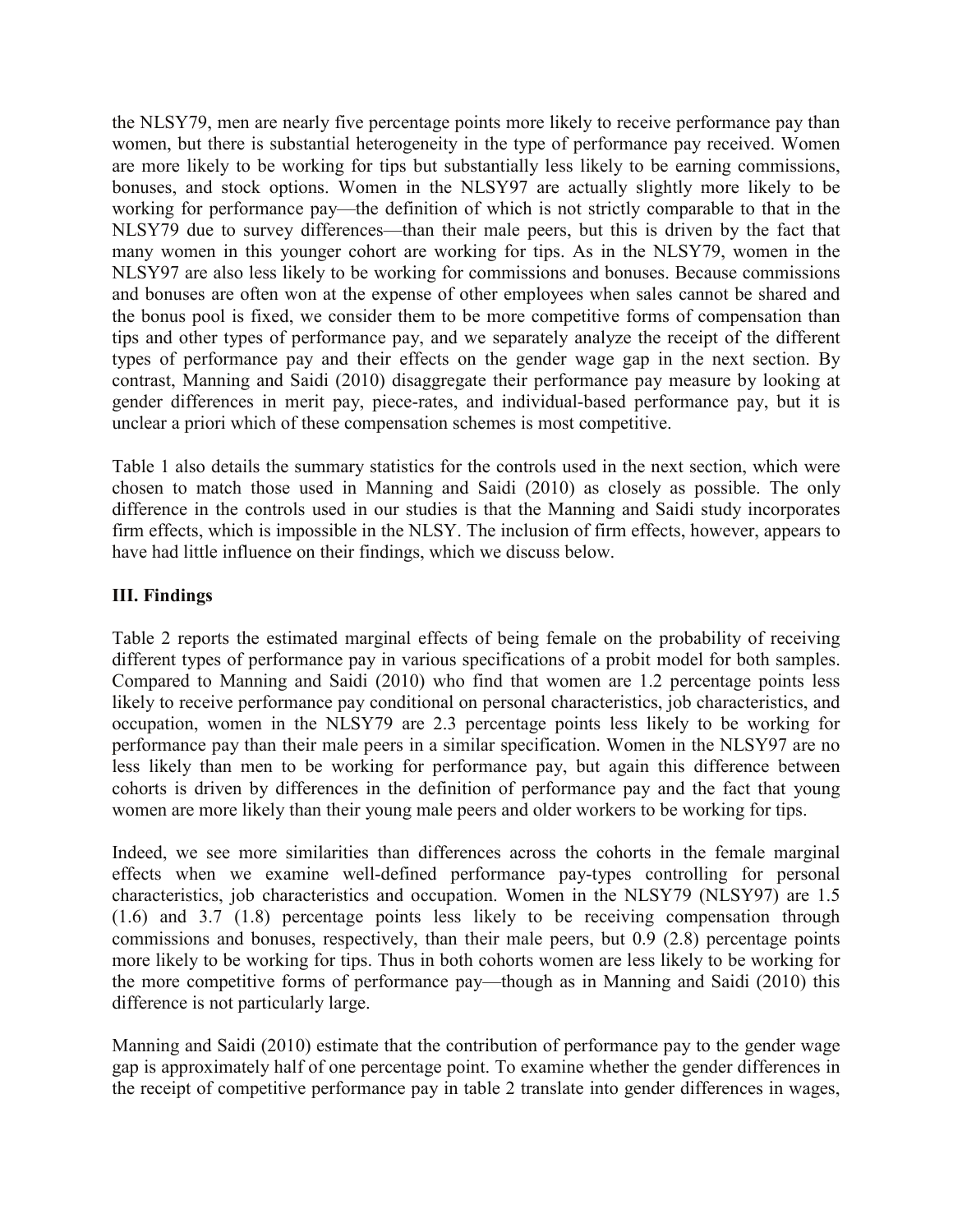the NLSY79, men are nearly five percentage points more likely to receive performance pay than women, but there is substantial heterogeneity in the type of performance pay received. Women are more likely to be working for tips but substantially less likely to be earning commissions, bonuses, and stock options. Women in the NLSY97 are actually slightly more likely to be working for performance pay—the definition of which is not strictly comparable to that in the NLSY79 due to survey differences—than their male peers, but this is driven by the fact that many women in this younger cohort are working for tips. As in the NLSY79, women in the NLSY97 are also less likely to be working for commissions and bonuses. Because commissions and bonuses are often won at the expense of other employees when sales cannot be shared and the bonus pool is fixed, we consider them to be more competitive forms of compensation than tips and other types of performance pay, and we separately analyze the receipt of the different types of performance pay and their effects on the gender wage gap in the next section. By contrast, Manning and Saidi (2010) disaggregate their performance pay measure by looking at gender differences in merit pay, piece-rates, and individual-based performance pay, but it is unclear a priori which of these compensation schemes is most competitive.

Table 1 also details the summary statistics for the controls used in the next section, which were chosen to match those used in Manning and Saidi (2010) as closely as possible. The only difference in the controls used in our studies is that the Manning and Saidi study incorporates firm effects, which is impossible in the NLSY. The inclusion of firm effects, however, appears to have had little influence on their findings, which we discuss below.

#### **III. Findings**

Table 2 reports the estimated marginal effects of being female on the probability of receiving different types of performance pay in various specifications of a probit model for both samples. Compared to Manning and Saidi (2010) who find that women are 1.2 percentage points less likely to receive performance pay conditional on personal characteristics, job characteristics, and occupation, women in the NLSY79 are 2.3 percentage points less likely to be working for performance pay than their male peers in a similar specification. Women in the NLSY97 are no less likely than men to be working for performance pay, but again this difference between cohorts is driven by differences in the definition of performance pay and the fact that young women are more likely than their young male peers and older workers to be working for tips.

Indeed, we see more similarities than differences across the cohorts in the female marginal effects when we examine well-defined performance pay-types controlling for personal characteristics, job characteristics and occupation. Women in the NLSY79 (NLSY97) are 1.5 (1.6) and 3.7 (1.8) percentage points less likely to be receiving compensation through commissions and bonuses, respectively, than their male peers, but 0.9 (2.8) percentage points more likely to be working for tips. Thus in both cohorts women are less likely to be working for the more competitive forms of performance pay—though as in Manning and Saidi (2010) this difference is not particularly large.

Manning and Saidi (2010) estimate that the contribution of performance pay to the gender wage gap is approximately half of one percentage point. To examine whether the gender differences in the receipt of competitive performance pay in table 2 translate into gender differences in wages,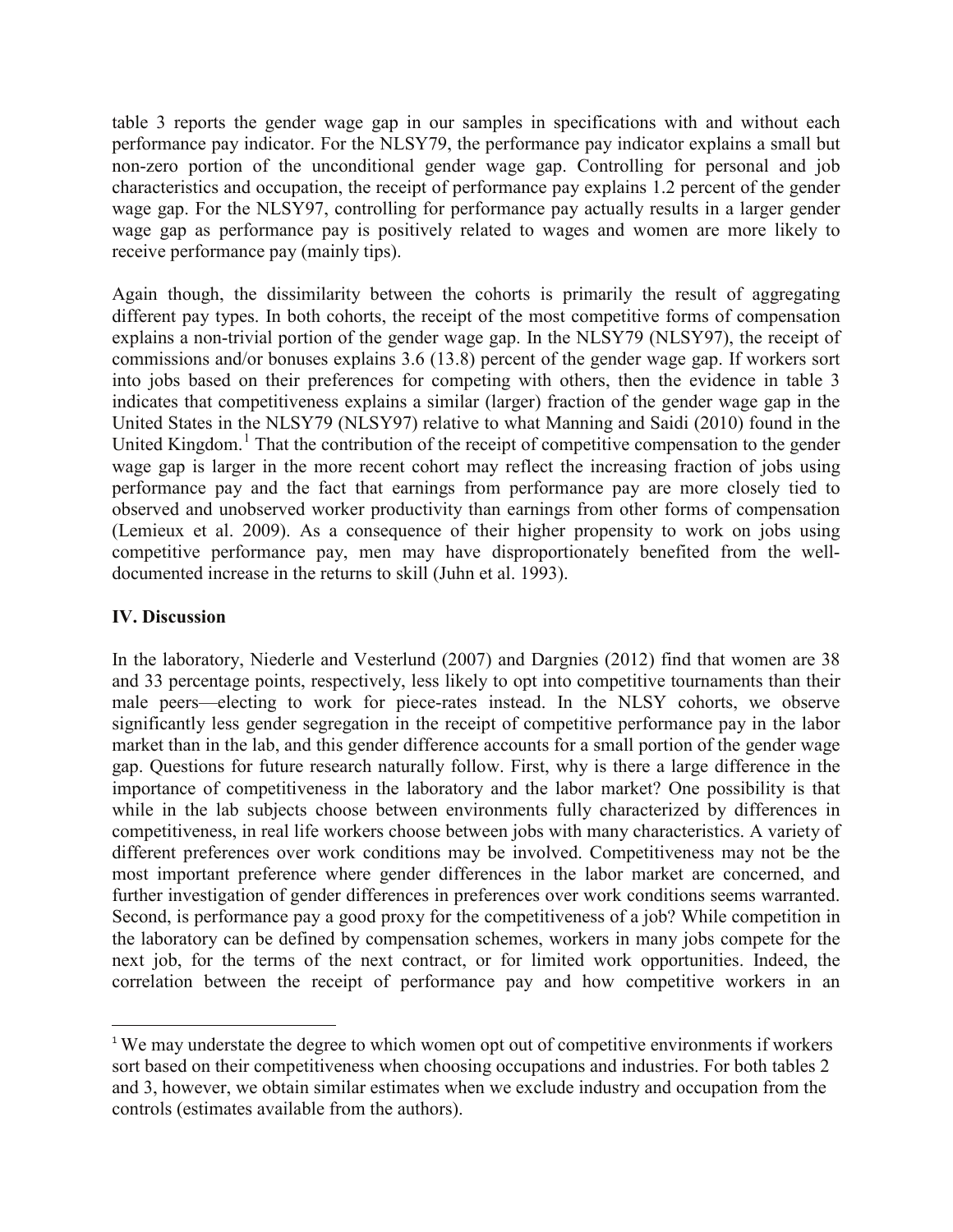table 3 reports the gender wage gap in our samples in specifications with and without each performance pay indicator. For the NLSY79, the performance pay indicator explains a small but non-zero portion of the unconditional gender wage gap. Controlling for personal and job characteristics and occupation, the receipt of performance pay explains 1.2 percent of the gender wage gap. For the NLSY97, controlling for performance pay actually results in a larger gender wage gap as performance pay is positively related to wages and women are more likely to receive performance pay (mainly tips).

Again though, the dissimilarity between the cohorts is primarily the result of aggregating different pay types. In both cohorts, the receipt of the most competitive forms of compensation explains a non-trivial portion of the gender wage gap. In the NLSY79 (NLSY97), the receipt of commissions and/or bonuses explains 3.6 (13.8) percent of the gender wage gap. If workers sort into jobs based on their preferences for competing with others, then the evidence in table 3 indicates that competitiveness explains a similar (larger) fraction of the gender wage gap in the United States in the NLSY79 (NLSY97) relative to what Manning and Saidi (2010) found in the United Kingdom.<sup>1</sup> That the contribution of the receipt of competitive compensation to the gender wage gap is larger in the more recent cohort may reflect the increasing fraction of jobs using performance pay and the fact that earnings from performance pay are more closely tied to observed and unobserved worker productivity than earnings from other forms of compensation (Lemieux et al. 2009). As a consequence of their higher propensity to work on jobs using competitive performance pay, men may have disproportionately benefited from the welldocumented increase in the returns to skill (Juhn et al. 1993).

#### **IV. Discussion**

In the laboratory, Niederle and Vesterlund (2007) and Dargnies (2012) find that women are 38 and 33 percentage points, respectively, less likely to opt into competitive tournaments than their male peers—electing to work for piece-rates instead. In the NLSY cohorts, we observe significantly less gender segregation in the receipt of competitive performance pay in the labor market than in the lab, and this gender difference accounts for a small portion of the gender wage gap. Questions for future research naturally follow. First, why is there a large difference in the importance of competitiveness in the laboratory and the labor market? One possibility is that while in the lab subjects choose between environments fully characterized by differences in competitiveness, in real life workers choose between jobs with many characteristics. A variety of different preferences over work conditions may be involved. Competitiveness may not be the most important preference where gender differences in the labor market are concerned, and further investigation of gender differences in preferences over work conditions seems warranted. Second, is performance pay a good proxy for the competitiveness of a job? While competition in the laboratory can be defined by compensation schemes, workers in many jobs compete for the next job, for the terms of the next contract, or for limited work opportunities. Indeed, the correlation between the receipt of performance pay and how competitive workers in an

<sup>&</sup>lt;sup>1</sup> We may understate the degree to which women opt out of competitive environments if workers sort based on their competitiveness when choosing occupations and industries. For both tables 2 and 3, however, we obtain similar estimates when we exclude industry and occupation from the controls (estimates available from the authors).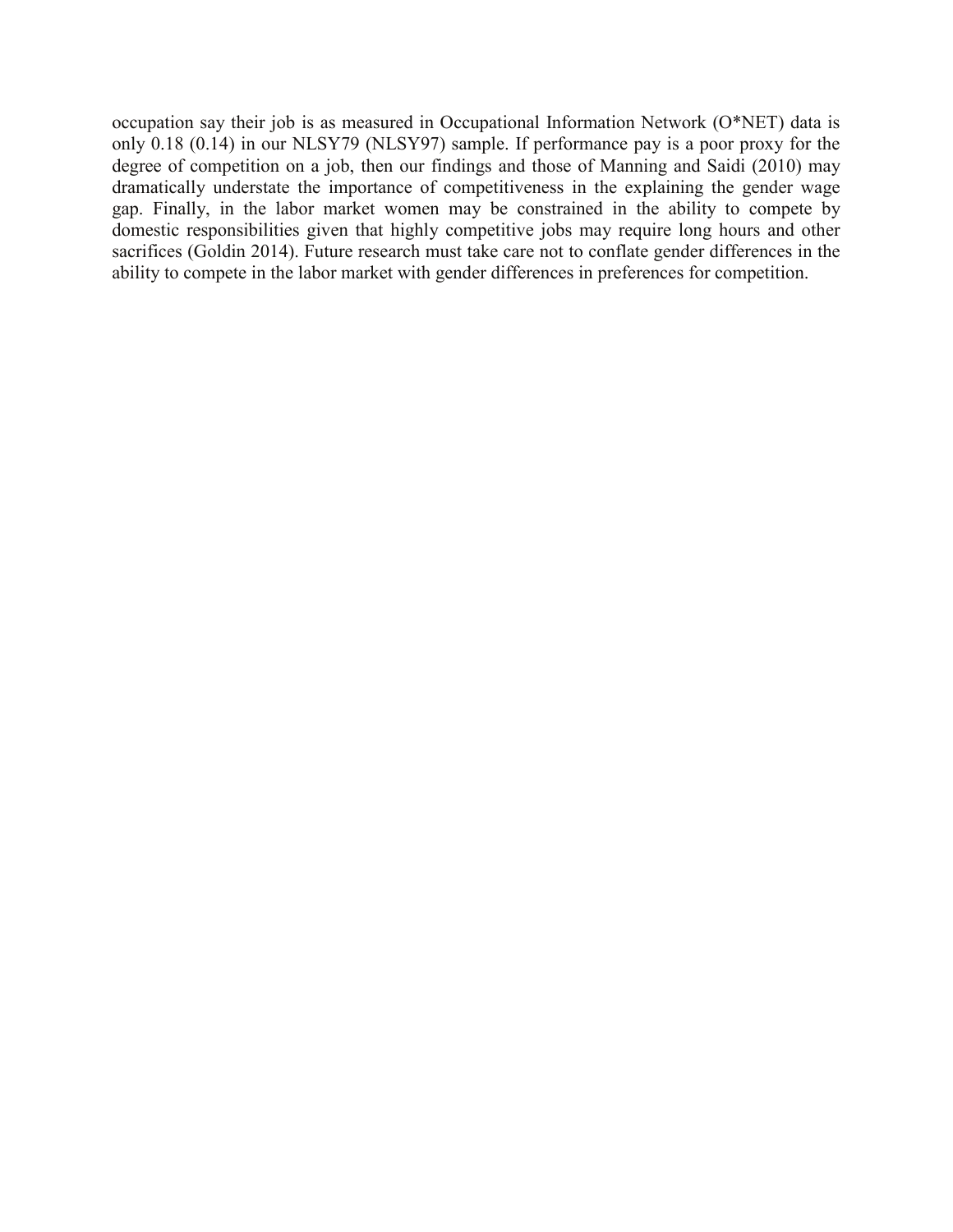occupation say their job is as measured in Occupational Information Network (O\*NET) data is only 0.18 (0.14) in our NLSY79 (NLSY97) sample. If performance pay is a poor proxy for the degree of competition on a job, then our findings and those of Manning and Saidi (2010) may dramatically understate the importance of competitiveness in the explaining the gender wage gap. Finally, in the labor market women may be constrained in the ability to compete by domestic responsibilities given that highly competitive jobs may require long hours and other sacrifices (Goldin 2014). Future research must take care not to conflate gender differences in the ability to compete in the labor market with gender differences in preferences for competition.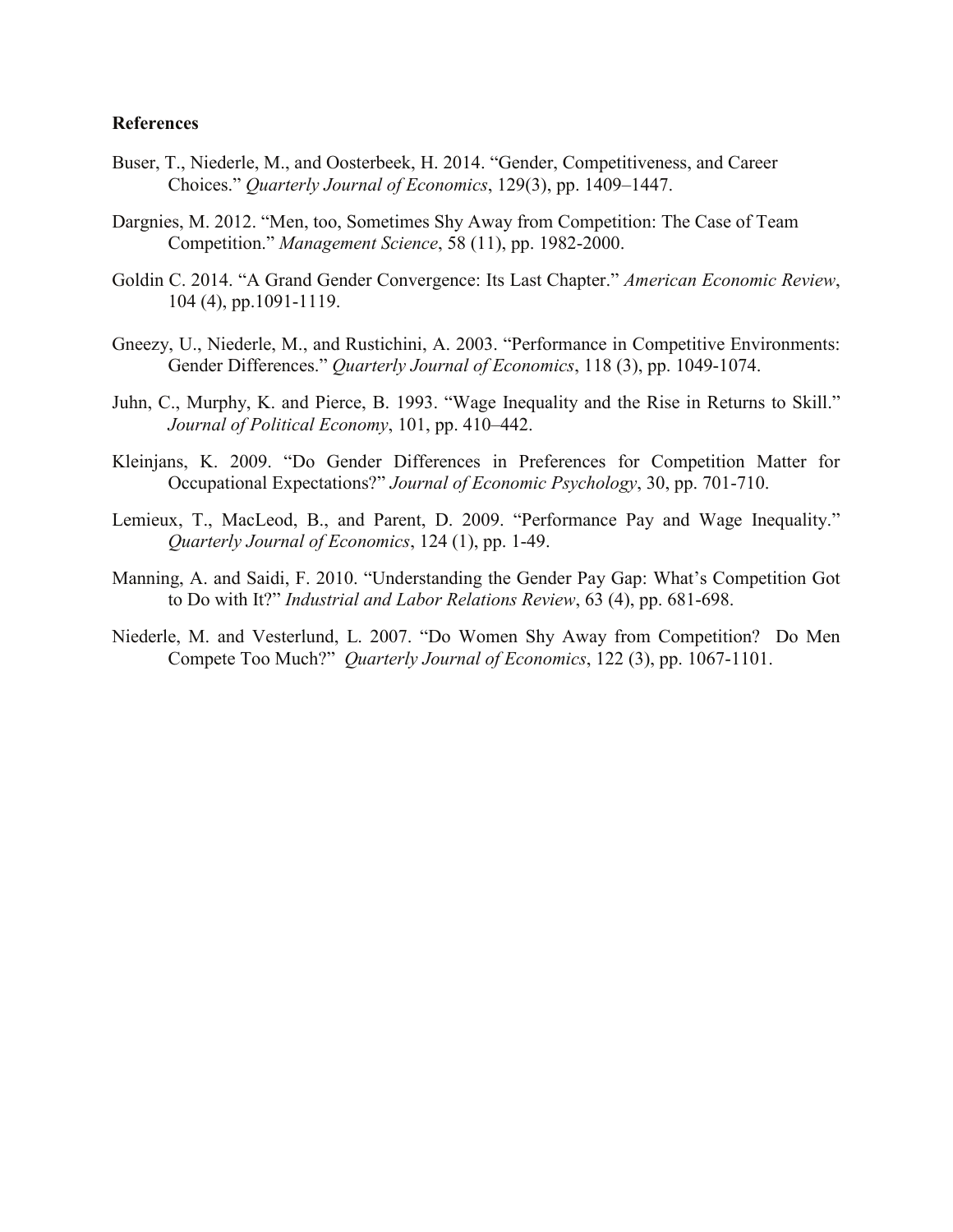#### **References**

- Buser, T., Niederle, M., and Oosterbeek, H. 2014. "Gender, Competitiveness, and Career Choices." *Quarterly Journal of Economics*, 129(3), pp. 1409–1447.
- Dargnies, M. 2012. "Men, too, Sometimes Shy Away from Competition: The Case of Team Competition." *Management Science*, 58 (11), pp. 1982-2000.
- Goldin C. 2014. ["A Grand Gender Convergence: Its Last Chapter.](http://scholar.harvard.edu/goldin/publications/grand-gender-convergence-its-last-chapter)" *American Economic Review*, 104 (4), pp.1091-1119.
- Gneezy, U., Niederle, M., and Rustichini, A. 2003. "Performance in Competitive Environments: Gender Differences." *Quarterly Journal of Economics*, 118 (3), pp. 1049-1074.
- Juhn, C., Murphy, K. and Pierce, B. 1993. "Wage Inequality and the Rise in Returns to Skill." *Journal of Political Economy*, 101, pp. 410–442.
- Kleinjans, K. 2009. "Do Gender Differences in Preferences for Competition Matter for Occupational Expectations?" *Journal of Economic Psychology*, 30, pp. 701-710.
- Lemieux, T., MacLeod, B., and Parent, D. 2009. "Performance Pay and Wage Inequality." *Quarterly Journal of Economics*, 124 (1), pp. 1-49.
- Manning, A. and Saidi, F. 2010. "Understanding the Gender Pay Gap: What's Competition Got to Do with It?" *Industrial and Labor Relations Review*, 63 (4), pp. 681-698.
- Niederle, M. and Vesterlund, L. 2007. "Do Women Shy Away from Competition? Do Men Compete Too Much?" *Quarterly Journal of Economics*, 122 (3), pp. 1067-1101.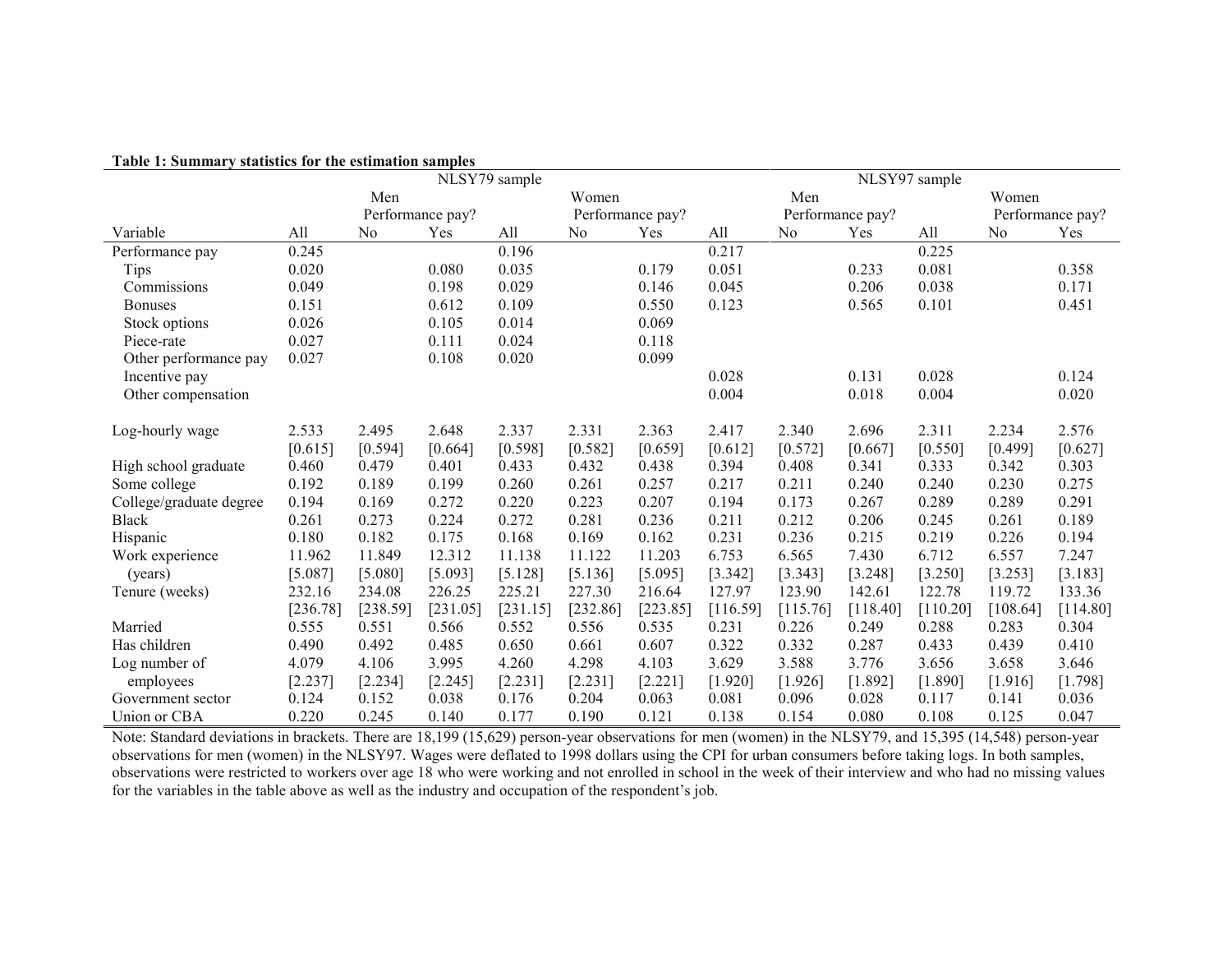|                         | NLSY79 sample |                |                  |                  | NLSY97 sample  |          |                  |          |          |                  |                |          |
|-------------------------|---------------|----------------|------------------|------------------|----------------|----------|------------------|----------|----------|------------------|----------------|----------|
|                         |               | Men            |                  | Women            |                |          | Men              |          |          |                  | Women          |          |
|                         |               |                | Performance pay? | Performance pay? |                |          | Performance pay? |          |          | Performance pay? |                |          |
| Variable                | All           | N <sub>0</sub> | Yes              | All              | N <sub>0</sub> | Yes      | All              | No       | Yes      | All              | N <sub>o</sub> | Yes      |
| Performance pay         | 0.245         |                |                  | 0.196            |                |          | 0.217            |          |          | 0.225            |                |          |
| Tips                    | 0.020         |                | 0.080            | 0.035            |                | 0.179    | 0.051            |          | 0.233    | 0.081            |                | 0.358    |
| Commissions             | 0.049         |                | 0.198            | 0.029            |                | 0.146    | 0.045            |          | 0.206    | 0.038            |                | 0.171    |
| <b>Bonuses</b>          | 0.151         |                | 0.612            | 0.109            |                | 0.550    | 0.123            |          | 0.565    | 0.101            |                | 0.451    |
| Stock options           | 0.026         |                | 0.105            | 0.014            |                | 0.069    |                  |          |          |                  |                |          |
| Piece-rate              | 0.027         |                | 0.111            | 0.024            |                | 0.118    |                  |          |          |                  |                |          |
| Other performance pay   | 0.027         |                | 0.108            | 0.020            |                | 0.099    |                  |          |          |                  |                |          |
| Incentive pay           |               |                |                  |                  |                |          | 0.028            |          | 0.131    | 0.028            |                | 0.124    |
| Other compensation      |               |                |                  |                  |                |          | 0.004            |          | 0.018    | 0.004            |                | 0.020    |
|                         |               |                |                  |                  |                |          |                  |          |          |                  |                |          |
| Log-hourly wage         | 2.533         | 2.495          | 2.648            | 2.337            | 2.331          | 2.363    | 2.417            | 2.340    | 2.696    | 2.311            | 2.234          | 2.576    |
|                         | [0.615]       | [0.594]        | [0.664]          | [0.598]          | $[0.582]$      | [0.659]  | $[0.612]$        | [0.572]  | [0.667]  | [0.550]          | [0.499]        | [0.627]  |
| High school graduate    | 0.460         | 0.479          | 0.401            | 0.433            | 0.432          | 0.438    | 0.394            | 0.408    | 0.341    | 0.333            | 0.342          | 0.303    |
| Some college            | 0.192         | 0.189          | 0.199            | 0.260            | 0.261          | 0.257    | 0.217            | 0.211    | 0.240    | 0.240            | 0.230          | 0.275    |
| College/graduate degree | 0.194         | 0.169          | 0.272            | 0.220            | 0.223          | 0.207    | 0.194            | 0.173    | 0.267    | 0.289            | 0.289          | 0.291    |
| <b>Black</b>            | 0.261         | 0.273          | 0.224            | 0.272            | 0.281          | 0.236    | 0.211            | 0.212    | 0.206    | 0.245            | 0.261          | 0.189    |
| Hispanic                | 0.180         | 0.182          | 0.175            | 0.168            | 0.169          | 0.162    | 0.231            | 0.236    | 0.215    | 0.219            | 0.226          | 0.194    |
| Work experience         | 11.962        | 11.849         | 12.312           | 11.138           | 11.122         | 11.203   | 6.753            | 6.565    | 7.430    | 6.712            | 6.557          | 7.247    |
| (years)                 | [5.087]       | [5.080]        | [5.093]          | [5.128]          | [5.136]        | [5.095]  | [3.342]          | [3.343]  | [3.248]  | [3.250]          | [3.253]        | [3.183]  |
| Tenure (weeks)          | 232.16        | 234.08         | 226.25           | 225.21           | 227.30         | 216.64   | 127.97           | 123.90   | 142.61   | 122.78           | 119.72         | 133.36   |
|                         | [236.78]      | [238.59]       | [231.05]         | [231.15]         | [232.86]       | [223.85] | [116.59]         | [115.76] | [118.40] | [110.20]         | [108.64]       | [114.80] |
| Married                 | 0.555         | 0.551          | 0.566            | 0.552            | 0.556          | 0.535    | 0.231            | 0.226    | 0.249    | 0.288            | 0.283          | 0.304    |
| Has children            | 0.490         | 0.492          | 0.485            | 0.650            | 0.661          | 0.607    | 0.322            | 0.332    | 0.287    | 0.433            | 0.439          | 0.410    |
| Log number of           | 4.079         | 4.106          | 3.995            | 4.260            | 4.298          | 4.103    | 3.629            | 3.588    | 3.776    | 3.656            | 3.658          | 3.646    |
| employees               | [2.237]       | [2.234]        | [2.245]          | [2.231]          | [2.231]        | [2.221]  | [1.920]          | [1.926]  | [1.892]  | [1.890]          | [1.916]        | [1.798]  |
| Government sector       | 0.124         | 0.152          | 0.038            | 0.176            | 0.204          | 0.063    | 0.081            | 0.096    | 0.028    | 0.117            | 0.141          | 0.036    |
| Union or CBA            | 0.220         | 0.245          | 0.140            | 0.177            | 0.190          | 0.121    | 0.138            | 0.154    | 0.080    | 0.108            | 0.125          | 0.047    |

#### **Table 1: Summary statistics for the estimation samples**

Note: Standard deviations in brackets. There are 18,199 (15,629) person-year observations for men (women) in the NLSY79, and 15,395 (14,548) person-year observations for men (women) in the NLSY97. Wages were deflated to 1998 dollars using the CPI for urban consumers before taking logs. In both samples, observations were restricted to workers over age 18 who were working and not enrolled in school in the week of their interview and who had no missing values for the variables in the table above as well as the industry and occupation of the respondent's job.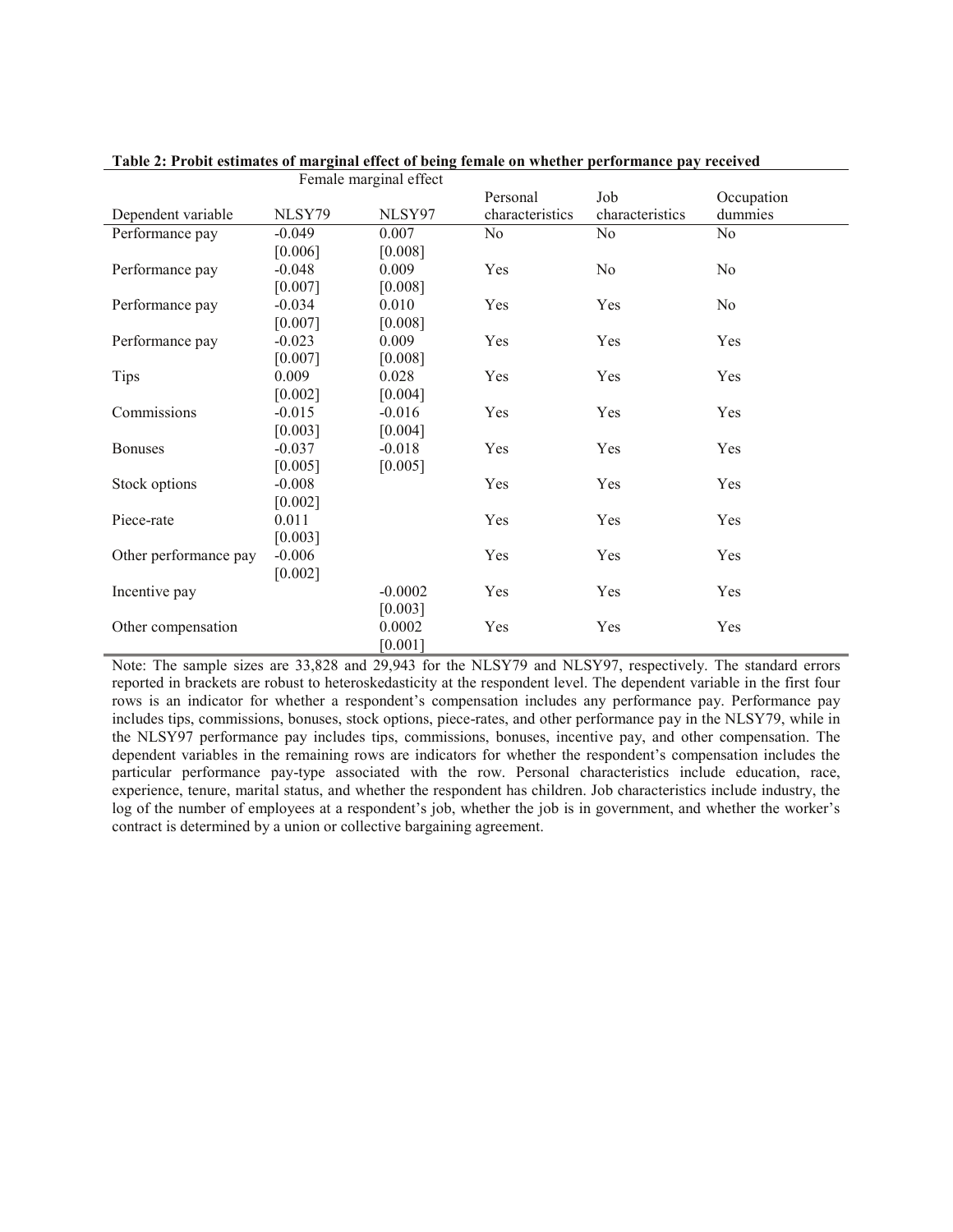|                       |          | Female marginal effect |                 |                 |                |
|-----------------------|----------|------------------------|-----------------|-----------------|----------------|
|                       |          |                        | Personal        | Job             | Occupation     |
| Dependent variable    | NLSY79   | NLSY97                 | characteristics | characteristics | dummies        |
| Performance pay       | $-0.049$ | 0.007                  | No.             | N <sub>0</sub>  | N <sub>0</sub> |
|                       | [0.006]  | [0.008]                |                 |                 |                |
| Performance pay       | $-0.048$ | 0.009                  | Yes             | No              | N <sub>0</sub> |
|                       | [0.007]  | [0.008]                |                 |                 |                |
| Performance pay       | $-0.034$ | 0.010                  | Yes             | Yes             | No             |
|                       | [0.007]  | [0.008]                |                 |                 |                |
| Performance pay       | $-0.023$ | 0.009                  | Yes             | Yes             | Yes            |
|                       | [0.007]  | [0.008]                |                 |                 |                |
| Tips                  | 0.009    | 0.028                  | Yes             | Yes             | Yes            |
|                       | [0.002]  | [0.004]                |                 |                 |                |
| Commissions           | $-0.015$ | $-0.016$               | Yes             | Yes             | Yes            |
|                       | [0.003]  | [0.004]                |                 |                 |                |
| <b>Bonuses</b>        | $-0.037$ | $-0.018$               | Yes             | Yes             | Yes            |
|                       | [0.005]  | [0.005]                |                 |                 |                |
| Stock options         | $-0.008$ |                        | Yes             | Yes             | Yes            |
|                       | [0.002]  |                        |                 |                 |                |
| Piece-rate            | 0.011    |                        | Yes             | Yes             | Yes            |
|                       | [0.003]  |                        |                 |                 |                |
| Other performance pay | $-0.006$ |                        | Yes             | Yes             | Yes            |
| Incentive pay         | [0.002]  | $-0.0002$              | Yes             | Yes             | Yes            |
|                       |          | [0.003]                |                 |                 |                |
|                       |          | 0.0002                 | Yes             | Yes             | Yes            |
| Other compensation    |          | [0.001]                |                 |                 |                |
|                       |          |                        |                 |                 |                |

**Table 2: Probit estimates of marginal effect of being female on whether performance pay received** 

Note: The sample sizes are 33,828 and 29,943 for the NLSY79 and NLSY97, respectively. The standard errors reported in brackets are robust to heteroskedasticity at the respondent level. The dependent variable in the first four rows is an indicator for whether a respondent's compensation includes any performance pay. Performance pay includes tips, commissions, bonuses, stock options, piece-rates, and other performance pay in the NLSY79, while in the NLSY97 performance pay includes tips, commissions, bonuses, incentive pay, and other compensation. The dependent variables in the remaining rows are indicators for whether the respondent's compensation includes the particular performance pay-type associated with the row. Personal characteristics include education, race, experience, tenure, marital status, and whether the respondent has children. Job characteristics include industry, the log of the number of employees at a respondent's job, whether the job is in government, and whether the worker's contract is determined by a union or collective bargaining agreement.